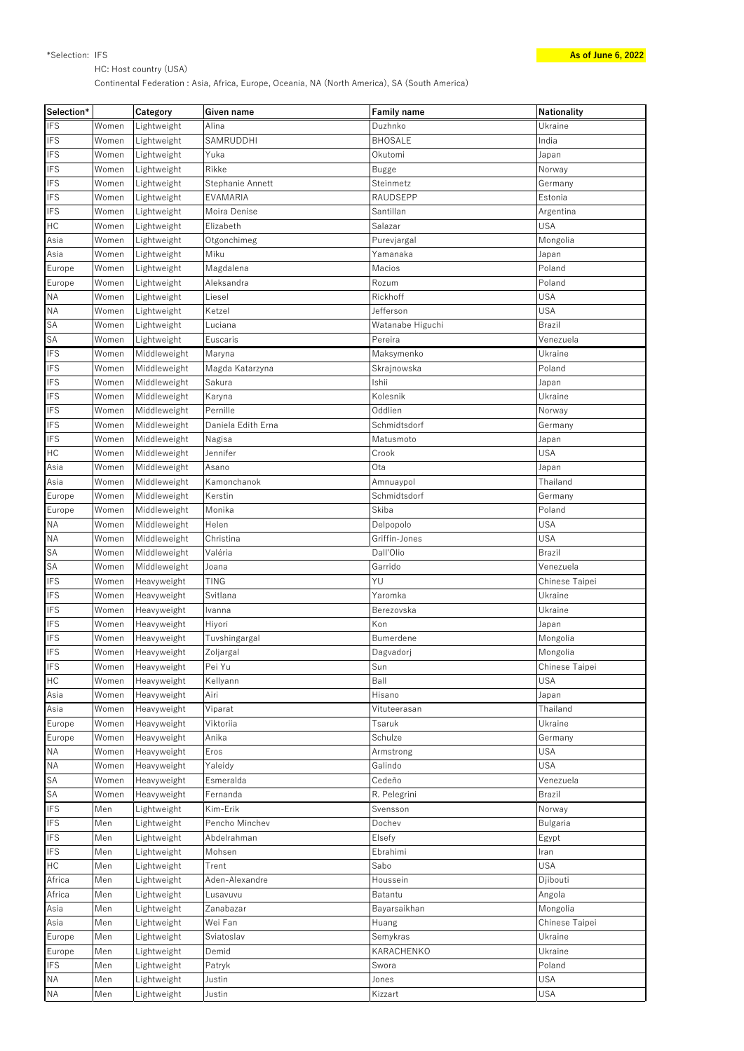HC: Host country (USA)

Continental Federation : Asia, Africa, Europe, Oceania, NA (North America), SA (South America)

| Selection* |       | Category     | <b>Given name</b>  | <b>Family name</b> | <b>Nationality</b> |
|------------|-------|--------------|--------------------|--------------------|--------------------|
| <b>IFS</b> | Women | Lightweight  | Alina              | Duzhnko            | Ukraine            |
| <b>IFS</b> | Women | Lightweight  | SAMRUDDHI          | <b>BHOSALE</b>     | India              |
| <b>IFS</b> | Women | Lightweight  | Yuka               | Okutomi            | Japan              |
| <b>IFS</b> | Women | Lightweight  | Rikke              | <b>Bugge</b>       | Norway             |
| <b>IFS</b> | Women | Lightweight  | Stephanie Annett   | Steinmetz          | Germany            |
| <b>IFS</b> | Women | Lightweight  | EVAMARIA           | RAUDSEPP           | Estonia            |
| <b>IFS</b> | Women | Lightweight  | Moira Denise       | Santillan          | Argentina          |
| HC         | Women | Lightweight  | Elizabeth          | Salazar            | <b>USA</b>         |
| Asia       | Women | Lightweight  | Otgonchimeg        | Purevjargal        | Mongolia           |
| Asia       | Women | Lightweight  | Miku               | Yamanaka           | Japan              |
| Europe     | Women | Lightweight  | Magdalena          | Macios             | Poland             |
| Europe     | Women | Lightweight  | Aleksandra         | Rozum              | Poland             |
| <b>NA</b>  |       |              |                    | Rickhoff           | <b>USA</b>         |
|            | Women | Lightweight  | Liesel             |                    |                    |
| <b>NA</b>  | Women | Lightweight  | Ketzel             | Jefferson          | <b>USA</b>         |
| SA         | Women | Lightweight  | Luciana            | Watanabe Higuchi   | <b>Brazil</b>      |
| SA         | Women | Lightweight  | Euscaris           | Pereira            | Venezuela          |
| <b>IFS</b> | Women | Middleweight | Maryna             | Maksymenko         | Ukraine            |
| <b>IFS</b> | Women | Middleweight | Magda Katarzyna    | Skrajnowska        | Poland             |
| <b>IFS</b> | Women | Middleweight | Sakura             | Ishii              | Japan              |
| <b>IFS</b> | Women | Middleweight | Karyna             | Kolesnik           | Ukraine            |
| <b>IFS</b> | Women | Middleweight | Pernille           | Oddlien            | Norway             |
| <b>IFS</b> | Women | Middleweight | Daniela Edith Erna | Schmidtsdorf       | Germany            |
| <b>IFS</b> | Women | Middleweight | Nagisa             | Matusmoto          | Japan              |
| HC         | Women | Middleweight | Jennifer           | Crook              | <b>USA</b>         |
| Asia       | Women | Middleweight | Asano              | Ota                | Japan              |
| Asia       | Women | Middleweight | Kamonchanok        | Amnuaypol          | Thailand           |
| Europe     | Women | Middleweight | Kerstin            | Schmidtsdorf       | Germany            |
| Europe     | Women | Middleweight | Monika             | Skiba              | Poland             |
| <b>NA</b>  | Women | Middleweight | Helen              | Delpopolo          | <b>USA</b>         |
| <b>NA</b>  | Women | Middleweight | Christina          | Griffin-Jones      | <b>USA</b>         |
| SA         | Women | Middleweight | Valéria            | Dall'Olio          | <b>Brazil</b>      |
| SA         | Women | Middleweight | Joana              | Garrido            | Venezuela          |
| <b>IFS</b> | Women | Heavyweight  | <b>TING</b>        | YU                 | Chinese Taipei     |
| <b>IFS</b> | Women | Heavyweight  | Svitlana           | Yaromka            | Ukraine            |
| <b>IFS</b> | Women | Heavyweight  | Ivanna             | Berezovska         | Ukraine            |
| <b>IFS</b> | Women | Heavyweight  | Hiyori             | Kon                | Japan              |
| <b>IFS</b> | Women | Heavyweight  | Tuvshingargal      | Bumerdene          | Mongolia           |
| <b>IFS</b> | Women | Heavyweight  |                    |                    |                    |
|            |       |              | Zoljargal          | Dagvadorj          | Mongolia           |
| <b>IFS</b> | Women | Heavyweight  | Pei Yu             | Sun                | Chinese Taipei     |
| HC         | Women | Heavyweight  | Kellyann           | Ball               | <b>USA</b>         |
| Asia       | Women | Heavyweight  | Airi               | Hisano             | Japan              |
| Asia       | Women | Heavyweight  | Viparat            | Vituteerasan       | Thailand           |
| Europe     | Women | Heavyweight  | Viktoriia          | Tsaruk             | Ukraine            |
| Europe     | Women | Heavyweight  | Anika              | Schulze            | Germany            |
| <b>NA</b>  | Women | Heavyweight  | Eros               | Armstrong          | <b>USA</b>         |
| <b>NA</b>  | Women | Heavyweight  | Yaleidy            | Galindo            | <b>USA</b>         |
| SA         | Women | Heavyweight  | Esmeralda          | Cedeño             | Venezuela          |
| SA         | Women | Heavyweight  | Fernanda           | R. Pelegrini       | Brazil             |
| <b>IFS</b> | Men   | Lightweight  | Kim-Erik           | Svensson           | Norway             |
| <b>IFS</b> | Men   | Lightweight  | Pencho Minchev     | Dochev             | Bulgaria           |
| <b>IFS</b> | Men   | Lightweight  | Abdelrahman        | Elsefy             | Egypt              |
| <b>IFS</b> | Men   | Lightweight  | Mohsen             | Ebrahimi           | Iran               |
| HC         | Men   | Lightweight  | Trent              | Sabo               | <b>USA</b>         |
| Africa     | Men   | Lightweight  | Aden-Alexandre     | Houssein           | Djibouti           |
| Africa     | Men   | Lightweight  | Lusavuvu           | Batantu            | Angola             |
| Asia       | Men   | Lightweight  | Zanabazar          | Bayarsaikhan       | Mongolia           |
| Asia       | Men   | Lightweight  | Wei Fan            | Huang              | Chinese Taipei     |
| Europe     | Men   | Lightweight  | Sviatoslav         | Semykras           | Ukraine            |
| Europe     | Men   | Lightweight  | Demid              | KARACHENKO         | Ukraine            |
| <b>IFS</b> | Men   | Lightweight  | Patryk             | Swora              | Poland             |
| <b>NA</b>  | Men   | Lightweight  | Justin             | Jones              | <b>USA</b>         |
| $\sf NA$   | Men   | Lightweight  | Justin             | Kizzart            | <b>USA</b>         |
|            |       |              |                    |                    |                    |